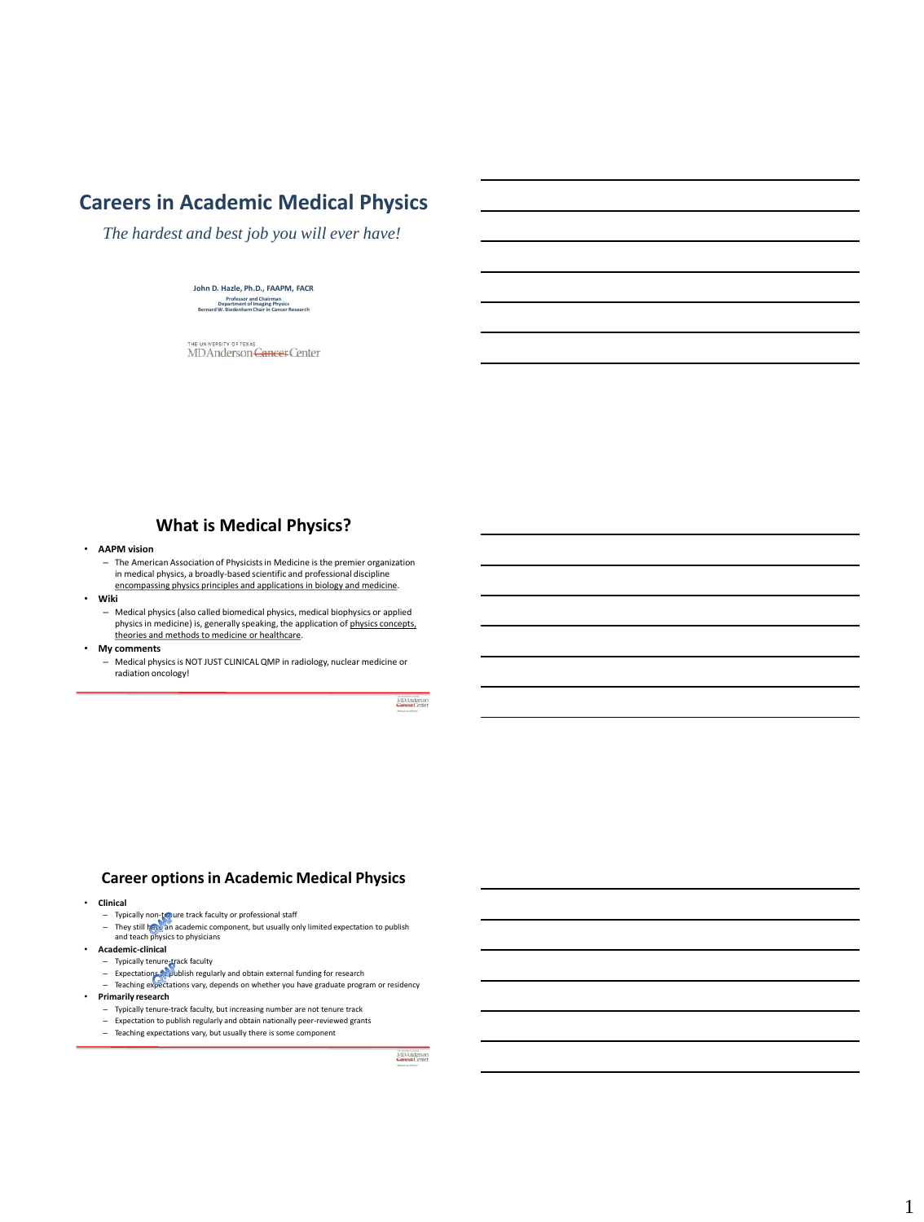# **Careers in Academic Medical Physics**

*The hardest and best job you will ever have!*

### **John D. Hazle, Ph.D., FAAPM, FACR Professor and Chairman Department of Imaging Physics Bernard W. Biedenharn Chair in Cancer Research**

UNIVERSITY OF TEXAS THE UNIVERSITY OF TEXAS<br>MD Anderson <del>Cancer</del> Center

### **What is Medical Physics?**

- **AAPM vision**
	- The American Association of Physicists in Medicine is the premier organization in medical physics, a broadly-based scientific and professional discipline encompassing physics principles and applications in biology and medicine.
- **Wiki**
	- Medical physics (also called biomedical physics, medical biophysics or applied physics in medicine) is, generally speaking, the application of physics concepts, theories and methods to medicine or healthcare.
- **My comments**
	- Medical physics is NOT JUST CLINICAL QMP in radiology, nuclear medicine or radiation oncology!

### **Career options in Academic Medical Physics**

- **Clinical**
	-
	- Typically non-tecure track faculty or professional staff<br>— They still have an academic component, but usually only limited expectation to publish<br>and teach physics to physicians
- **Academic-clinical**
	-
	-
	- Typically tenure-track faculty<br>— Expectations (Subublish regularly and obtain external funding for research<br>— Teaching expectations vary, depends on whether you have graduate program or residency
- **Primarily research** 
	- Typically tenure-track faculty, but increasing number are not tenure track
	- Expectation to publish regularly and obtain nationally peer-reviewed grants
	- Teaching expectations vary, but usually there is some component

MDAnderson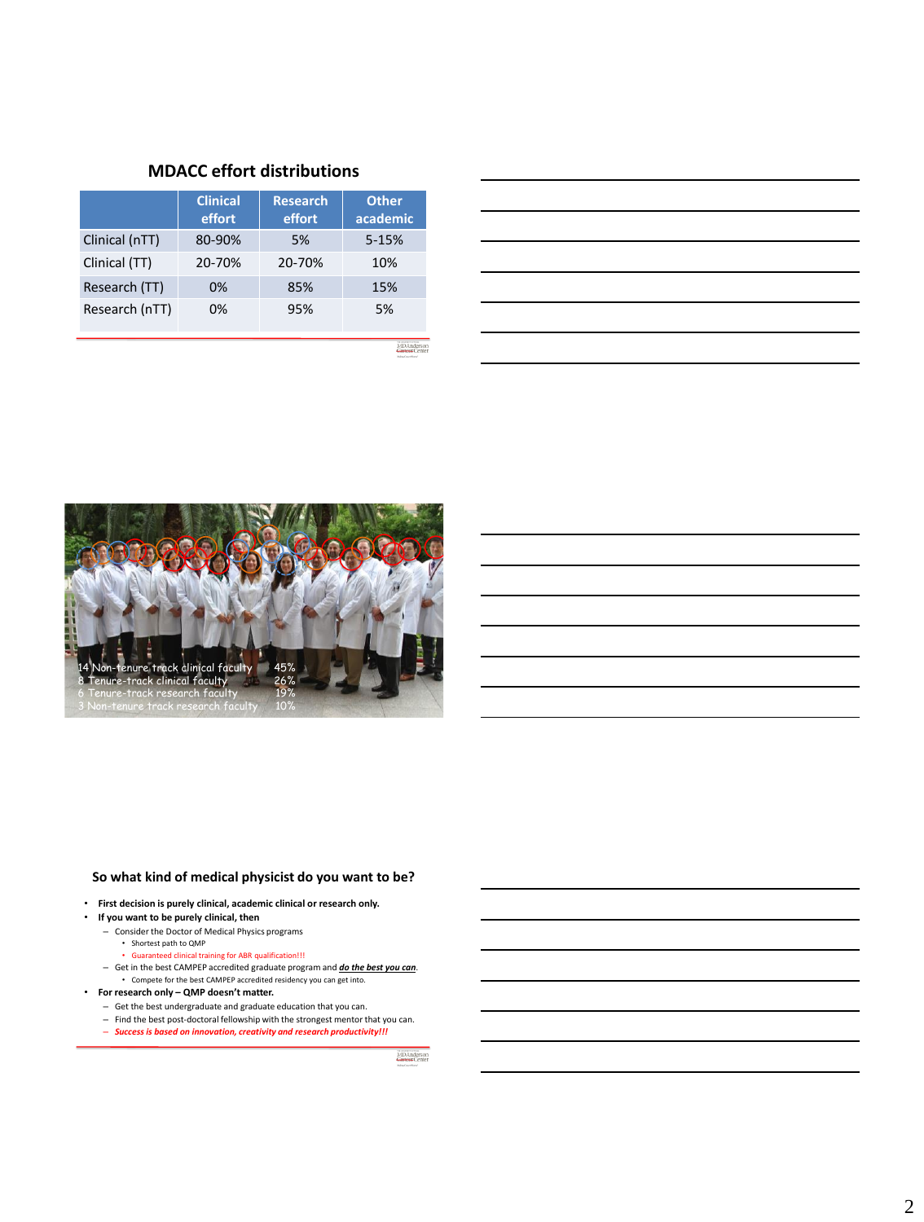# **MDACC effort distributions**

|                | <b>Clinical</b><br>effort | <b>Research</b><br>effort | <b>Other</b><br>academic |
|----------------|---------------------------|---------------------------|--------------------------|
| Clinical (nTT) | 80-90%                    | 5%                        | $5 - 15%$                |
| Clinical (TT)  | 20-70%                    | 20-70%                    | 10%                      |
| Research (TT)  | 0%                        | 85%                       | 15%                      |
| Research (nTT) | 0%                        | 95%                       | 5%                       |

MD Anderson<br>Cancer Center



### **So what kind of medical physicist do you want to be?**

• **First decision is purely clinical, academic clinical or research only.**

### • **If you want to be purely clinical, then**

- Consider the Doctor of Medical Physics programs
	- Shortest path to QMP
	- Guaranteed clinical training for ABR qualification!!!
- Get in the best CAMPEP accredited graduate program and *do the best you can*. • Compete for the best CAMPEP accredited residency you can get into.
- **For research only – QMP doesn't matter.**
	- Get the best undergraduate and graduate education that you can.
	- Find the best post-doctoral fellowship with the strongest mentor that you can.
	- *Success is based on innovation, creativity and research productivity!!!*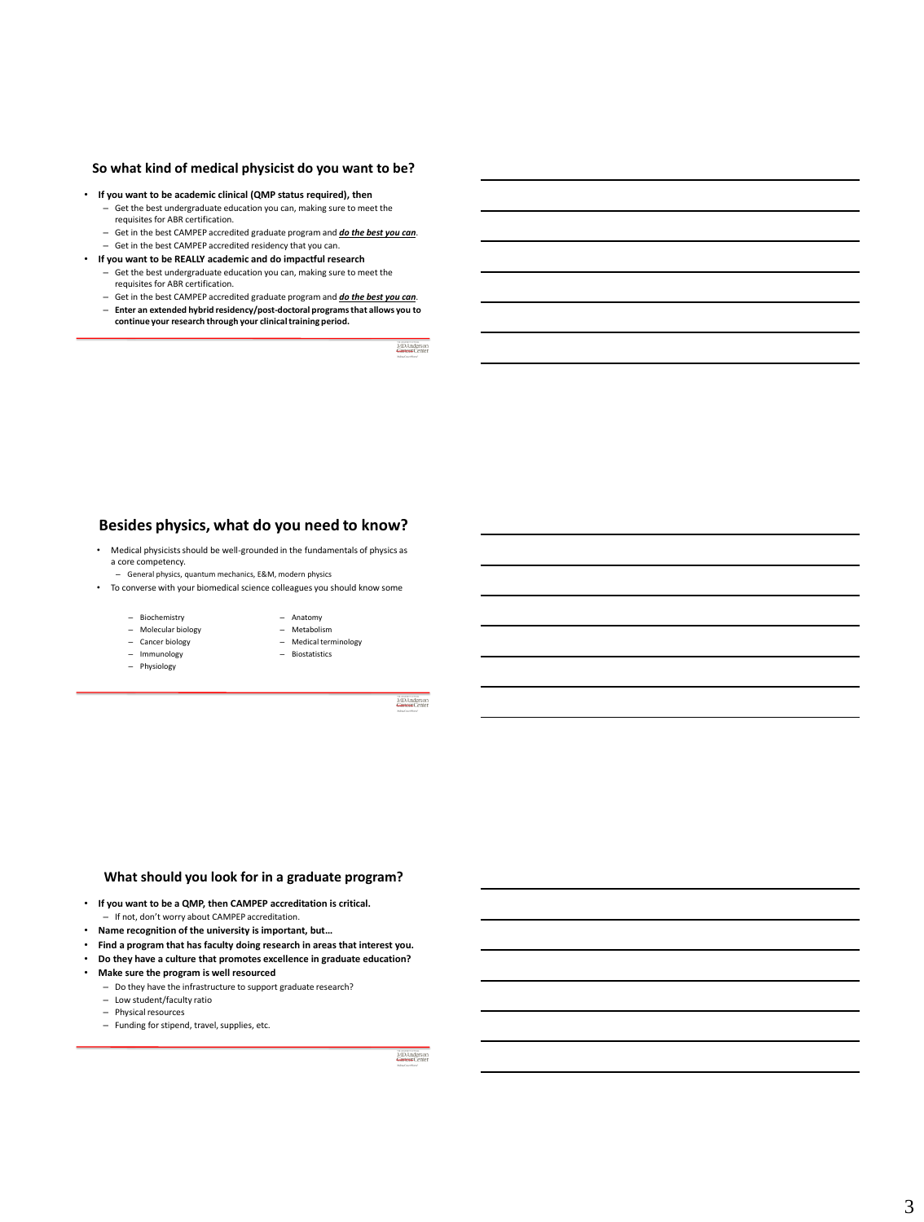# **So what kind of medical physicist do you want to be?**

- **If you want to be academic clinical (QMP status required), then**
	- Get the best undergraduate education you can, making sure to meet the requisites for ABR certification.
	- Get in the best CAMPEP accredited graduate program and *do the best you can*.
	- Get in the best CAMPEP accredited residency that you can.
- **If you want to be REALLY academic and do impactful research** – Get the best undergraduate education you can, making sure to meet the
	- requisites for ABR certification.
	- Get in the best CAMPEP accredited graduate program and *do the best you can*. – **Enter an extended hybrid residency/post-doctoral programs that allows you to** 
		- **continue your research through your clinical training period.**

MDAnderson

### **Besides physics, what do you need to know?**

- Medical physicists should be well-grounded in the fundamentals of physics as a core competency.
	- General physics, quantum mechanics, E&M, modern physics
- To converse with your biomedical science colleagues you should know some
	- Biochemistry
	- Molecular biology
	- Cancer biology
	- Immunology
	-
- Anatomy – Metabolism
- Medical terminology
	- Biostatistics
- Physiology
- 
- 

MDAnderson

#### **What should you look for in a graduate program?**

- **If you want to be a QMP, then CAMPEP accreditation is critical.** – If not, don't worry about CAMPEP accreditation.
- **Name recognition of the university is important, but…**
- **Find a program that has faculty doing research in areas that interest you.**
- **Do they have a culture that promotes excellence in graduate education?**
- **Make sure the program is well resourced**
	- Do they have the infrastructure to support graduate research?
	- Low student/faculty ratio
	- Physical resources
	- Funding for stipend, travel, supplies, etc.

MDAnderson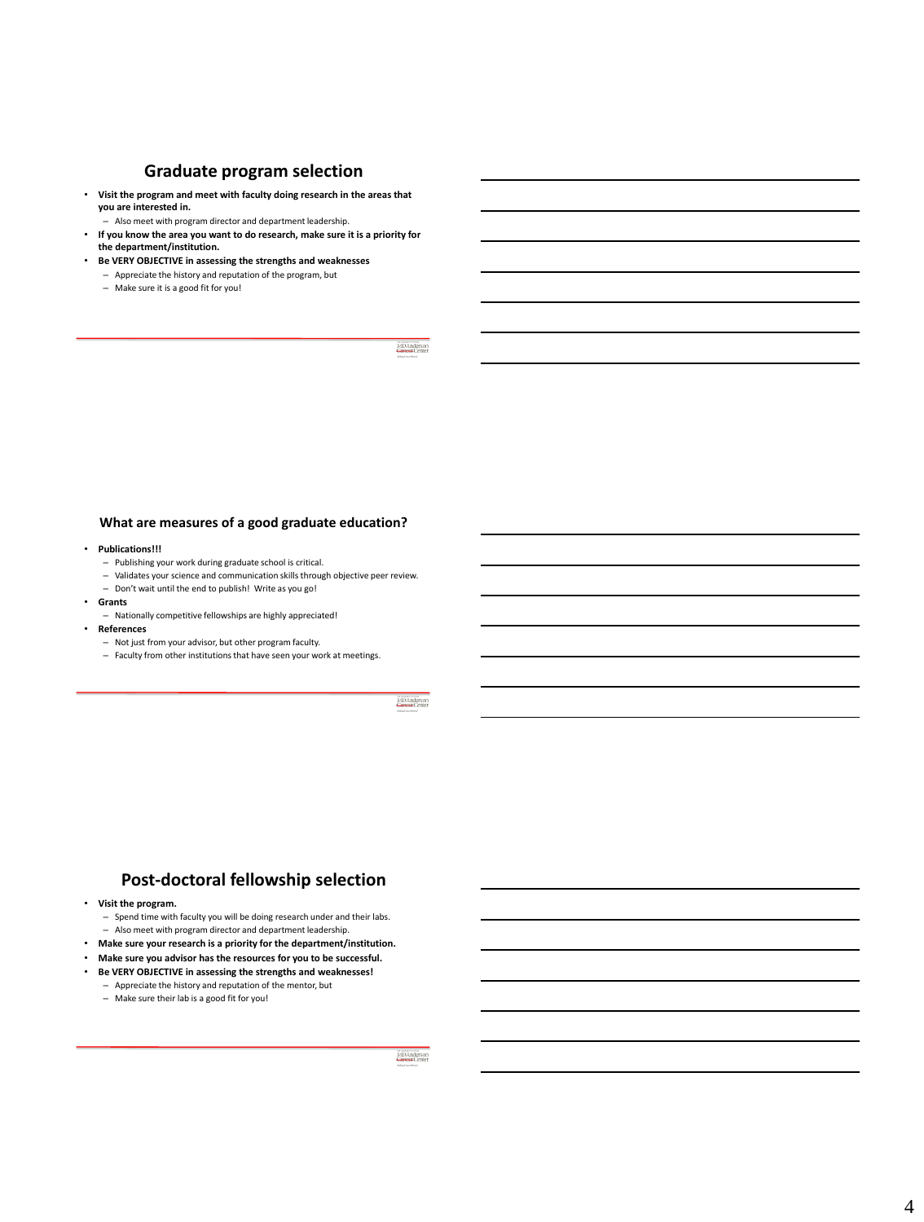# **Graduate program selection**

• **Visit the program and meet with faculty doing research in the areas that you are interested in.**

– Also meet with program director and department leadership.

- **If you know the area you want to do research, make sure it is a priority for the department/institution.**
- **Be VERY OBJECTIVE in assessing the strengths and weaknesses** – Appreciate the history and reputation of the program, but
	- Make sure it is a good fit for you!

MDAnderson

### **What are measures of a good graduate education?**

#### • **Publications!!!**

- Publishing your work during graduate school is critical.
- Validates your science and communication skills through objective peer review.
- Don't wait until the end to publish! Write as you go!
- **Grants**
	- Nationally competitive fellowships are highly appreciated!

#### • **References**

- Not just from your advisor, but other program faculty.
- Faculty from other institutions that have seen your work at meetings.

MDAnderson

# **Post-doctoral fellowship selection**

- **Visit the program.** 
	- Spend time with faculty you will be doing research under and their labs.
- Also meet with program director and department leadership.
- **Make sure your research is a priority for the department/institution.** • **Make sure you advisor has the resources for you to be successful.**
- 
- **Be VERY OBJECTIVE in assessing the strengths and weaknesses!** – Appreciate the history and reputation of the mentor, but
	- Make sure their lab is a good fit for you!

MD Anderson<br>Concer Center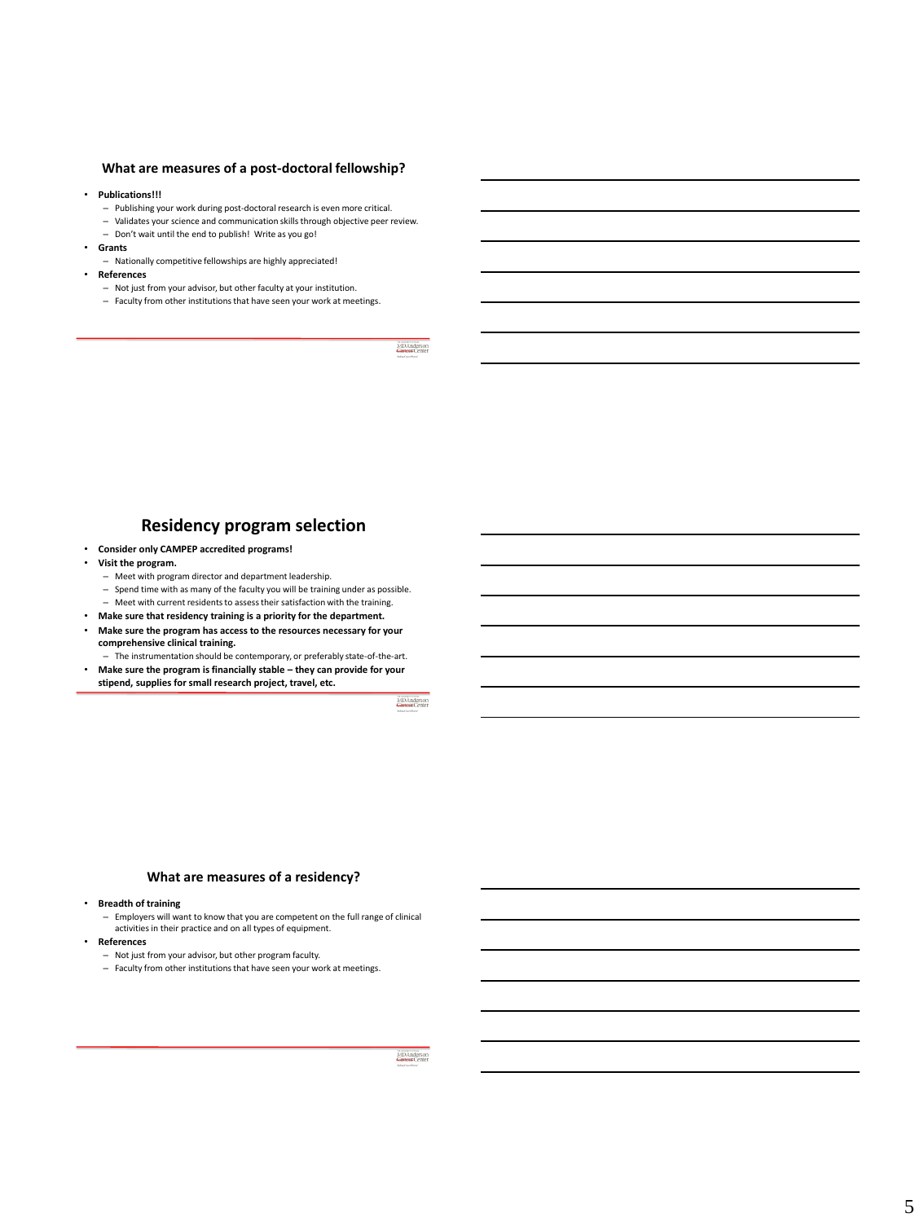### **What are measures of a post-doctoral fellowship?**

#### • **Publications!!!**

- Publishing your work during post-doctoral research is even more critical.
- Validates your science and communication skills through objective peer review. – Don't wait until the end to publish! Write as you go!
- **Grants**
	- Nationally competitive fellowships are highly appreciated!
	- **References**
		- Not just from your advisor, but other faculty at your institution.
	- Faculty from other institutions that have seen your work at meetings.

MDAnderso

### **Residency program selection**

• **Consider only CAMPEP accredited programs!**

#### • **Visit the program.**

- Meet with program director and department leadership.
- Spend time with as many of the faculty you will be training under as possible.
- Meet with current residents to assess their satisfaction with the training.
- **Make sure that residency training is a priority for the department.** • **Make sure the program has access to the resources necessary for your**
- **comprehensive clinical training.** – The instrumentation should be contemporary, or preferably state-of-the-art.
- **Make sure the program is financially stable – they can provide for your stipend, supplies for small research project, travel, etc.**

#### **What are measures of a residency?**

• **Breadth of training**

– Employers will want to know that you are competent on the full range of clinical activities in their practice and on all types of equipment.

- **References**
	- Not just from your advisor, but other program faculty.
	- Faculty from other institutions that have seen your work at meetings.

MDAnderson